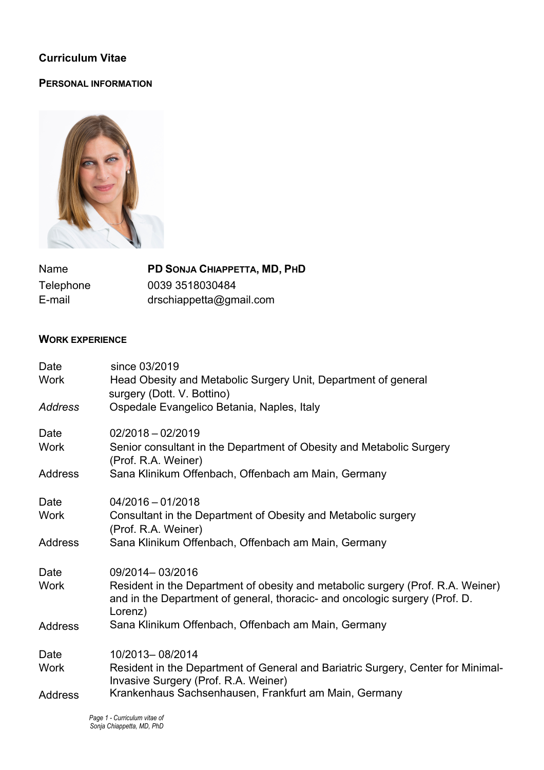# **Curriculum Vitae**

### **PERSONAL INFORMATION**



| Name      | PD SONJA CHIAPPETTA, MD, PHD |
|-----------|------------------------------|
| Telephone | 0039 3518030484              |
| E-mail    | drschiappetta@gmail.com      |

### **WORK EXPERIENCE**

| Date           | since 03/2019                                                                                                                                                             |
|----------------|---------------------------------------------------------------------------------------------------------------------------------------------------------------------------|
| Work           | Head Obesity and Metabolic Surgery Unit, Department of general<br>surgery (Dott. V. Bottino)                                                                              |
| Address        | Ospedale Evangelico Betania, Naples, Italy                                                                                                                                |
| Date           | $02/2018 - 02/2019$                                                                                                                                                       |
| <b>Work</b>    | Senior consultant in the Department of Obesity and Metabolic Surgery<br>(Prof. R.A. Weiner)                                                                               |
| <b>Address</b> | Sana Klinikum Offenbach, Offenbach am Main, Germany                                                                                                                       |
| Date           | $04/2016 - 01/2018$                                                                                                                                                       |
| <b>Work</b>    | Consultant in the Department of Obesity and Metabolic surgery<br>(Prof. R.A. Weiner)                                                                                      |
| Address        | Sana Klinikum Offenbach, Offenbach am Main, Germany                                                                                                                       |
| Date           | 09/2014-03/2016                                                                                                                                                           |
| Work           | Resident in the Department of obesity and metabolic surgery (Prof. R.A. Weiner)<br>and in the Department of general, thoracic- and oncologic surgery (Prof. D.<br>Lorenz) |
| <b>Address</b> | Sana Klinikum Offenbach, Offenbach am Main, Germany                                                                                                                       |
| Date           | 10/2013-08/2014                                                                                                                                                           |
| Work           | Resident in the Department of General and Bariatric Surgery, Center for Minimal-<br>Invasive Surgery (Prof. R.A. Weiner)                                                  |
| <b>Address</b> | Krankenhaus Sachsenhausen, Frankfurt am Main, Germany                                                                                                                     |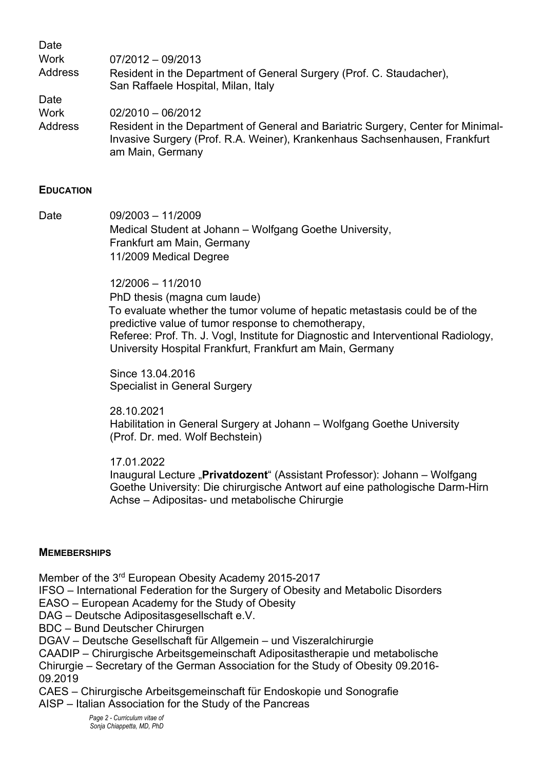| Date           |                                                                                                                                                                                    |
|----------------|------------------------------------------------------------------------------------------------------------------------------------------------------------------------------------|
| <b>Work</b>    | $07/2012 - 09/2013$                                                                                                                                                                |
| Address        | Resident in the Department of General Surgery (Prof. C. Staudacher),<br>San Raffaele Hospital, Milan, Italy                                                                        |
| Date           |                                                                                                                                                                                    |
| <b>Work</b>    | $02/2010 - 06/2012$                                                                                                                                                                |
| <b>Address</b> | Resident in the Department of General and Bariatric Surgery, Center for Minimal-<br>Invasive Surgery (Prof. R.A. Weiner), Krankenhaus Sachsenhausen, Frankfurt<br>am Main, Germany |

#### **EDUCATION**

Date 09/2003 – 11/2009 Medical Student at Johann – Wolfgang Goethe University, Frankfurt am Main, Germany 11/2009 Medical Degree

> 12/2006 – 11/2010 PhD thesis (magna cum laude) To evaluate whether the tumor volume of hepatic metastasis could be of the predictive value of tumor response to chemotherapy, Referee: Prof. Th. J. Vogl, Institute for Diagnostic and Interventional Radiology, University Hospital Frankfurt, Frankfurt am Main, Germany

Since 13.04.2016 Specialist in General Surgery

28.10.2021 Habilitation in General Surgery at Johann – Wolfgang Goethe University (Prof. Dr. med. Wolf Bechstein)

17.01.2022

Inaugural Lecture "**Privatdozent**" (Assistant Professor): Johann – Wolfgang Goethe University: Die chirurgische Antwort auf eine pathologische Darm-Hirn Achse – Adipositas- und metabolische Chirurgie

#### **MEMEBERSHIPS**

Member of the 3rd European Obesity Academy 2015-2017

IFSO – International Federation for the Surgery of Obesity and Metabolic Disorders

EASO – European Academy for the Study of Obesity

DAG – Deutsche Adipositasgesellschaft e.V.

BDC – Bund Deutscher Chirurgen

DGAV – Deutsche Gesellschaft für Allgemein – und Viszeralchirurgie

CAADIP – Chirurgische Arbeitsgemeinschaft Adipositastherapie und metabolische Chirurgie – Secretary of the German Association for the Study of Obesity 09.2016- 09.2019

CAES – Chirurgische Arbeitsgemeinschaft für Endoskopie und Sonografie AISP – Italian Association for the Study of the Pancreas